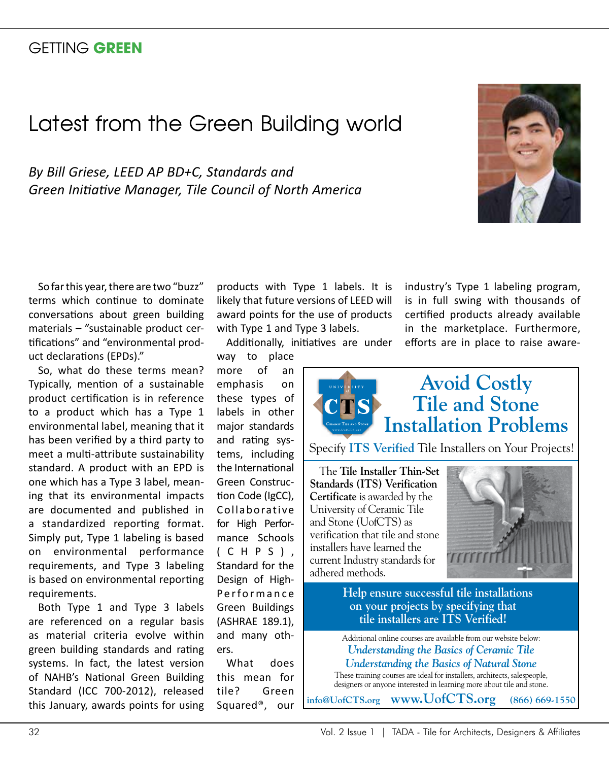## GETTING **GREEN**

# Latest from the Green Building world

*By Bill Griese, LEED AP BD+C, Standards and Green Initiative Manager, Tile Council of North America*



So far this year, there are two "buzz" terms which continue to dominate conversations about green building materials – "sustainable product certifications" and "environmental product declarations (EPDs)."

So, what do these terms mean? Typically, mention of a sustainable product certification is in reference to a product which has a Type 1 environmental label, meaning that it has been verified by a third party to meet a multi-attribute sustainability standard. A product with an EPD is one which has a Type 3 label, meaning that its environmental impacts are documented and published in a standardized reporting format. Simply put, Type 1 labeling is based on environmental performance requirements, and Type 3 labeling is based on environmental reporting requirements.

Both Type 1 and Type 3 labels are referenced on a regular basis as material criteria evolve within green building standards and rating systems. In fact, the latest version of NAHB's National Green Building Standard (ICC 700-2012), released this January, awards points for using

products with Type 1 labels. It is likely that future versions of LEED will award points for the use of products with Type 1 and Type 3 labels.

Additionally, initiatives are under

way to place more of an emphasis on these types of labels in other major standards and rating systems, including the International Green Construction Code (IgCC), Collaborative for High Performance Schools ( C H P S ) , Standard for the Design of High-Performance Green Buildings (ASHRAE 189.1), and many others. What does

this mean for tile? Green Squared®, our

industry's Type 1 labeling program, is in full swing with thousands of certified products already available in the marketplace. Furthermore, iatives are under efforts are in place to raise aware-



Specify **ITS Verified** Tile Installers on Your Projects!

The **Tile Installer Thin-Set Standards (ITS) Verification Certificate** is awarded by the University of Ceramic Tile and Stone (UofCTS) as verification that tile and stone installers have learned the current Industry standards for adhered methods.



**Help ensure successful tile installations on your projects by specifying that tile installers are ITS Verified!**

Additional online courses are available from our website below: *Understanding the Basics of Ceramic Tile Understanding the Basics of Natural Stone*

These training courses are ideal for installers, architects, salespeople, designers or anyone interested in learning more about tile and stone.

**info@UofCTS.org www.UofCTS.org (866) 669-1550**